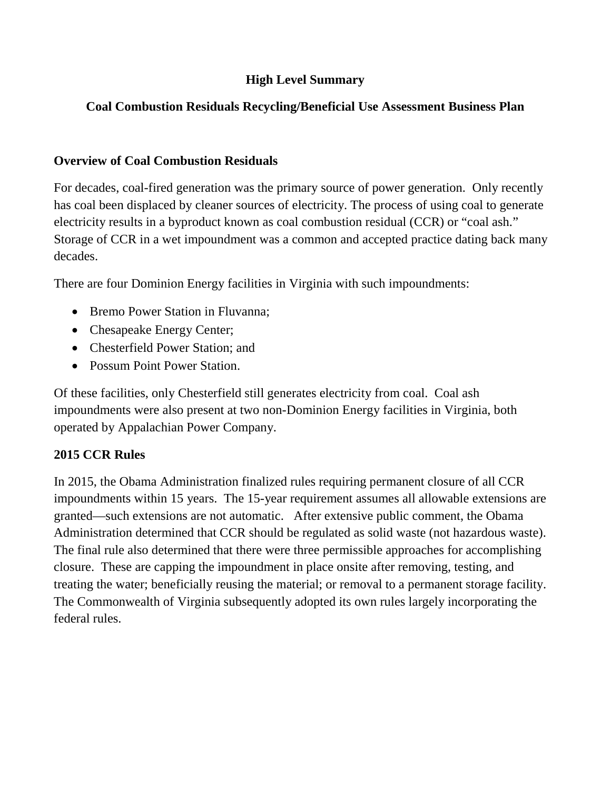## **High Level Summary**

# **Coal Combustion Residuals Recycling/Beneficial Use Assessment Business Plan**

### **Overview of Coal Combustion Residuals**

 For decades, coal-fired generation was the primary source of power generation. Only recently has coal been displaced by cleaner sources of electricity. The process of using coal to generate electricity results in a byproduct known as coal combustion residual (CCR) or "coal ash." Storage of CCR in a wet impoundment was a common and accepted practice dating back many decades.

There are four Dominion Energy facilities in Virginia with such impoundments:

- Bremo Power Station in Fluvanna;
- Chesapeake Energy Center;
- Chesterfield Power Station; and
- Possum Point Power Station.

 operated by Appalachian Power Company. Of these facilities, only Chesterfield still generates electricity from coal. Coal ash impoundments were also present at two non-Dominion Energy facilities in Virginia, both

### **2015 CCR Rules**

In 2015, the Obama Administration finalized rules requiring permanent closure of all CCR impoundments within 15 years. The 15-year requirement assumes all allowable extensions are granted—such extensions are not automatic. After extensive public comment, the Obama Administration determined that CCR should be regulated as solid waste (not hazardous waste). The final rule also determined that there were three permissible approaches for accomplishing closure. These are capping the impoundment in place onsite after removing, testing, and treating the water; beneficially reusing the material; or removal to a permanent storage facility. The Commonwealth of Virginia subsequently adopted its own rules largely incorporating the federal rules.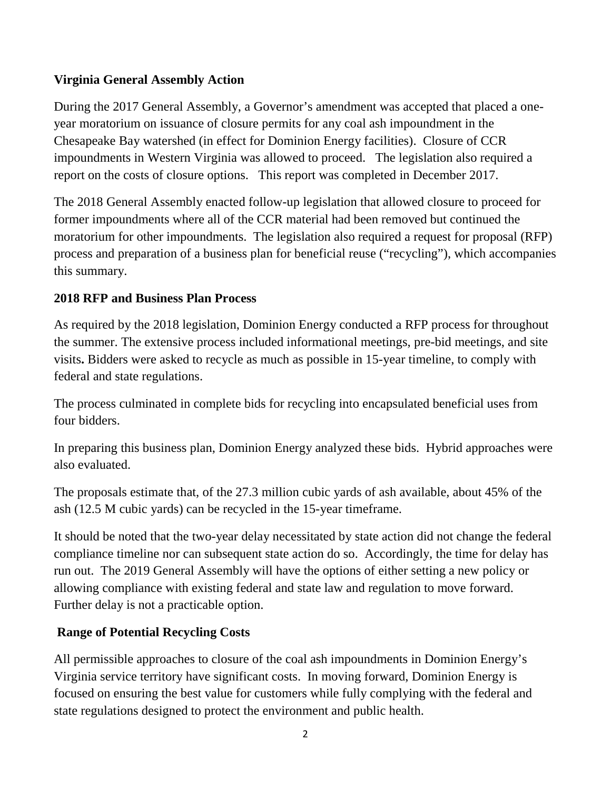### **Virginia General Assembly Action**

During the 2017 General Assembly, a Governor's amendment was accepted that placed a oneyear moratorium on issuance of closure permits for any coal ash impoundment in the Chesapeake Bay watershed (in effect for Dominion Energy facilities). Closure of CCR impoundments in Western Virginia was allowed to proceed. The legislation also required a report on the costs of closure options. This report was completed in December 2017.

The 2018 General Assembly enacted follow-up legislation that allowed closure to proceed for former impoundments where all of the CCR material had been removed but continued the moratorium for other impoundments. The legislation also required a request for proposal (RFP) process and preparation of a business plan for beneficial reuse ("recycling"), which accompanies this summary.

### **2018 RFP and Business Plan Process**

As required by the 2018 legislation, Dominion Energy conducted a RFP process for throughout the summer. The extensive process included informational meetings, pre-bid meetings, and site visits**.** Bidders were asked to recycle as much as possible in 15-year timeline, to comply with federal and state regulations.

The process culminated in complete bids for recycling into encapsulated beneficial uses from four bidders.

In preparing this business plan, Dominion Energy analyzed these bids. Hybrid approaches were also evaluated.

The proposals estimate that, of the 27.3 million cubic yards of ash available, about 45% of the ash (12.5 M cubic yards) can be recycled in the 15-year timeframe.

It should be noted that the two-year delay necessitated by state action did not change the federal compliance timeline nor can subsequent state action do so. Accordingly, the time for delay has run out. The 2019 General Assembly will have the options of either setting a new policy or allowing compliance with existing federal and state law and regulation to move forward. Further delay is not a practicable option.

### **Range of Potential Recycling Costs**

All permissible approaches to closure of the coal ash impoundments in Dominion Energy's Virginia service territory have significant costs. In moving forward, Dominion Energy is focused on ensuring the best value for customers while fully complying with the federal and state regulations designed to protect the environment and public health.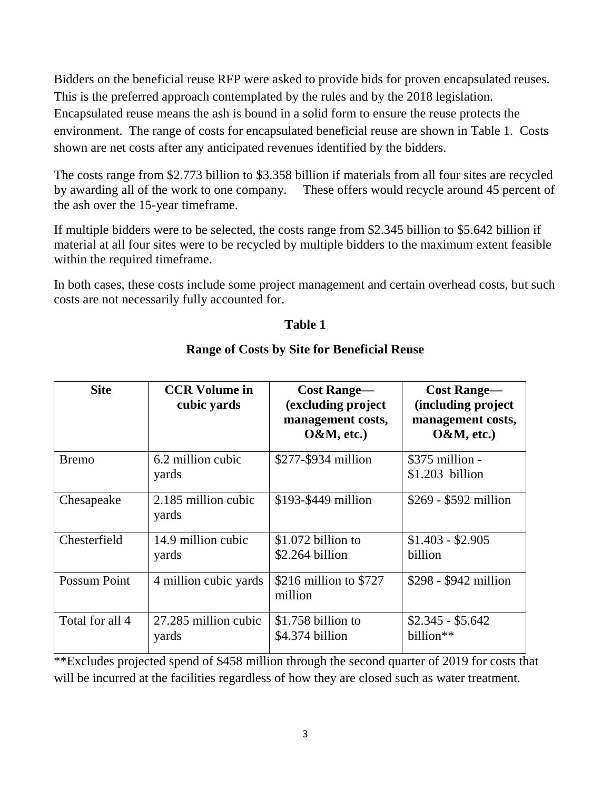Bidders on the beneficial reuse RFP were asked to provide bids for proven encapsulated reuses. This is the preferred approach contemplated by the rules and by the 2018 legislation. Encapsulated reuse means the ash is bound in a solid form to ensure the reuse protects the environment. The range of costs for encapsulated beneficial reuse are shown in Table 1. Costs shown are net costs after any anticipated revenues identified by the bidders.

The costs range from \$2.773 billion to \$3.358 billion if materials from all four sites are recycled by awarding all of the work to one company. These offers would recycle around 45 percent of the ash over the 15-year timeframe.

If multiple bidders were to be selected, the costs range from \$2.345 billion to \$5.642 billion if material at all four sites were to be recycled by multiple bidders to the maximum extent feasible within the required timeframe.

In both cases, these costs include some project management and certain overhead costs, but such costs are not necessarily fully accounted for.

#### **Table 1**

| <b>Site</b>         | <b>CCR Volume in</b><br>cubic yards | <b>Cost Range—</b><br>(excluding project<br>management costs,<br>$O&M$ , etc.) | <b>Cost Range—</b><br>(including project<br>management costs,<br>$O&M$ , etc.) |
|---------------------|-------------------------------------|--------------------------------------------------------------------------------|--------------------------------------------------------------------------------|
| <b>Bremo</b>        | 6.2 million cubic<br>yards          | \$277-\$934 million                                                            | $$375$ million -<br>$$1.203$ billion                                           |
| Chesapeake          | 2.185 million cubic<br>yards        | \$193-\$449 million                                                            | $$269 - $592$ million                                                          |
| Chesterfield        | 14.9 million cubic<br>yards         | \$1.072 billion to<br>$$2.264$ billion                                         | $$1.403 - $2.905$<br>billion                                                   |
| <b>Possum Point</b> | 4 million cubic yards               | \$216 million to $$727$<br>million                                             | $$298 - $942$ million                                                          |
| Total for all 4     | 27.285 million cubic<br>yards       | $$1.758$ billion to<br>\$4.374 billion                                         | $$2.345 - $5.642$<br>billion <sup>**</sup>                                     |

### **Range of Costs by Site for Beneficial Reuse**

\*\*Excludes projected spend of \$458 million through the second quarter of 2019 for costs that will be incurred at the facilities regardless of how they are closed such as water treatment.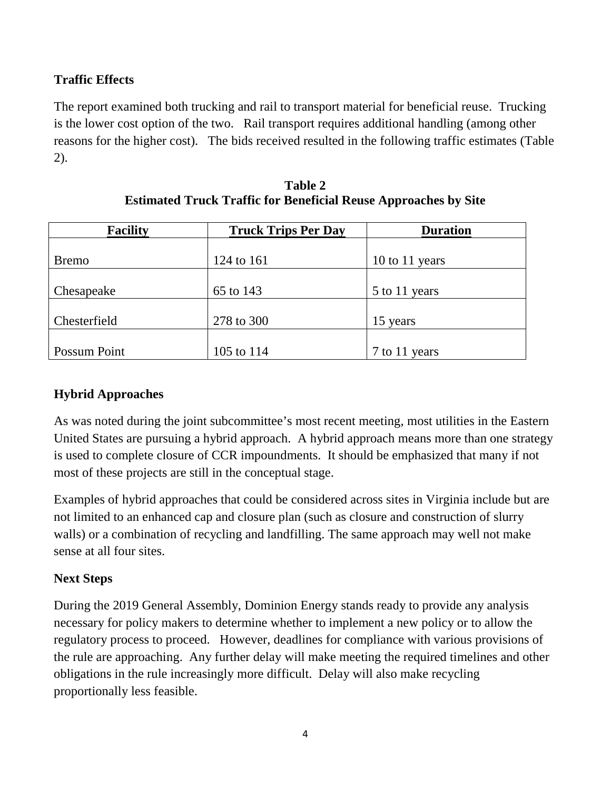## **Traffic Effects**

The report examined both trucking and rail to transport material for beneficial reuse. Trucking is the lower cost option of the two. Rail transport requires additional handling (among other reasons for the higher cost). The bids received resulted in the following traffic estimates (Table 2).

| <b>Facility</b>     | <b>Truck Trips Per Day</b> | <b>Duration</b> |
|---------------------|----------------------------|-----------------|
|                     |                            |                 |
| <b>Bremo</b>        | 124 to 161                 | 10 to 11 years  |
|                     |                            |                 |
| Chesapeake          | 65 to 143                  | 5 to 11 years   |
|                     |                            |                 |
| Chesterfield        | 278 to 300                 | 15 years        |
|                     |                            |                 |
| <b>Possum Point</b> | 105 to 114                 | 7 to 11 years   |

**Table 2 Estimated Truck Traffic for Beneficial Reuse Approaches by Site**

# **Hybrid Approaches**

As was noted during the joint subcommittee's most recent meeting, most utilities in the Eastern United States are pursuing a hybrid approach. A hybrid approach means more than one strategy is used to complete closure of CCR impoundments. It should be emphasized that many if not most of these projects are still in the conceptual stage.

Examples of hybrid approaches that could be considered across sites in Virginia include but are not limited to an enhanced cap and closure plan (such as closure and construction of slurry walls) or a combination of recycling and landfilling. The same approach may well not make sense at all four sites.

### **Next Steps**

During the 2019 General Assembly, Dominion Energy stands ready to provide any analysis necessary for policy makers to determine whether to implement a new policy or to allow the regulatory process to proceed. However, deadlines for compliance with various provisions of the rule are approaching. Any further delay will make meeting the required timelines and other obligations in the rule increasingly more difficult. Delay will also make recycling proportionally less feasible.